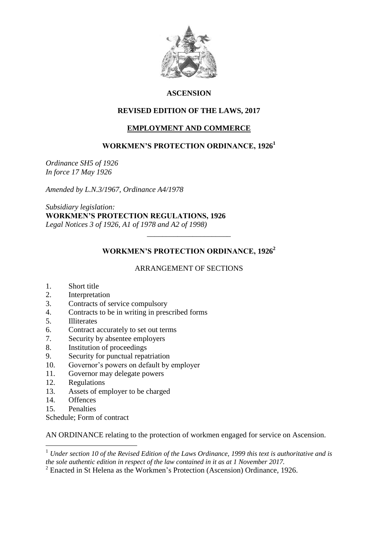

# **ASCENSION**

## **REVISED EDITION OF THE LAWS, 2017**

# **EMPLOYMENT AND COMMERCE**

## **WORKMEN'S PROTECTION ORDINANCE, 1926<sup>1</sup>**

*Ordinance SH5 of 1926 In force 17 May 1926*

*Amended by L.N.3/1967, Ordinance A4/1978*

*Subsidiary legislation:* **WORKMEN'S PROTECTION REGULATIONS, 1926** *Legal Notices 3 of 1926, A1 of 1978 and A2 of 1998)*

# **WORKMEN'S PROTECTION ORDINANCE, 1926<sup>2</sup>**

*\_\_\_\_\_\_\_\_\_\_\_\_\_\_\_\_\_\_\_\_\_\_*

## ARRANGEMENT OF SECTIONS

- 1. Short title
- 2. Interpretation
- 3. Contracts of service compulsory
- 4. Contracts to be in writing in prescribed forms
- 5. Illiterates
- 6. Contract accurately to set out terms
- 7. Security by absentee employers
- 8. Institution of proceedings
- 9. Security for punctual repatriation
- 10. Governor's powers on default by employer
- 11. Governor may delegate powers
- 12. Regulations
- 13. Assets of employer to be charged
- 14. Offences
- 15. Penalties

Schedule; Form of contract

AN ORDINANCE relating to the protection of workmen engaged for service on Ascension.

1 <sup>1</sup> *Under section 10 of the Revised Edition of the Laws Ordinance, 1999 this text is authoritative and is the sole authentic edition in respect of the law contained in it as at 1 November 2017.*

 $2^2$  Enacted in St Helena as the Workmen's Protection (Ascension) Ordinance, 1926.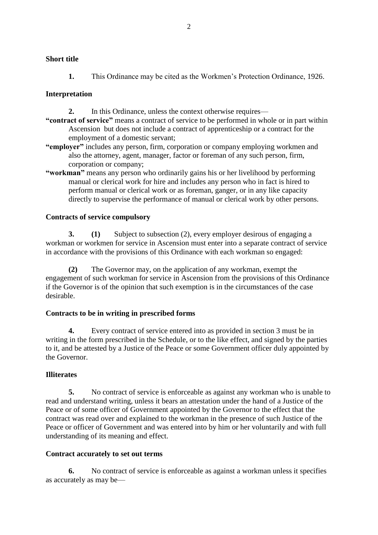### **Short title**

**1.** This Ordinance may be cited as the Workmen's Protection Ordinance, 1926.

### **Interpretation**

- **2.** In this Ordinance, unless the context otherwise requires—
- **"contract of service"** means a contract of service to be performed in whole or in part within Ascension but does not include a contract of apprenticeship or a contract for the employment of a domestic servant;
- **"employer"** includes any person, firm, corporation or company employing workmen and also the attorney, agent, manager, factor or foreman of any such person, firm, corporation or company;
- **"workman"** means any person who ordinarily gains his or her livelihood by performing manual or clerical work for hire and includes any person who in fact is hired to perform manual or clerical work or as foreman, ganger, or in any like capacity directly to supervise the performance of manual or clerical work by other persons.

### **Contracts of service compulsory**

**3. (1)** Subject to subsection (2), every employer desirous of engaging a workman or workmen for service in Ascension must enter into a separate contract of service in accordance with the provisions of this Ordinance with each workman so engaged:

**(2)** The Governor may, on the application of any workman, exempt the engagement of such workman for service in Ascension from the provisions of this Ordinance if the Governor is of the opinion that such exemption is in the circumstances of the case desirable.

### **Contracts to be in writing in prescribed forms**

**4.** Every contract of service entered into as provided in section 3 must be in writing in the form prescribed in the Schedule, or to the like effect, and signed by the parties to it, and be attested by a Justice of the Peace or some Government officer duly appointed by the Governor.

### **Illiterates**

**5.** No contract of service is enforceable as against any workman who is unable to read and understand writing, unless it bears an attestation under the hand of a Justice of the Peace or of some officer of Government appointed by the Governor to the effect that the contract was read over and explained to the workman in the presence of such Justice of the Peace or officer of Government and was entered into by him or her voluntarily and with full understanding of its meaning and effect.

### **Contract accurately to set out terms**

**6.** No contract of service is enforceable as against a workman unless it specifies as accurately as may be—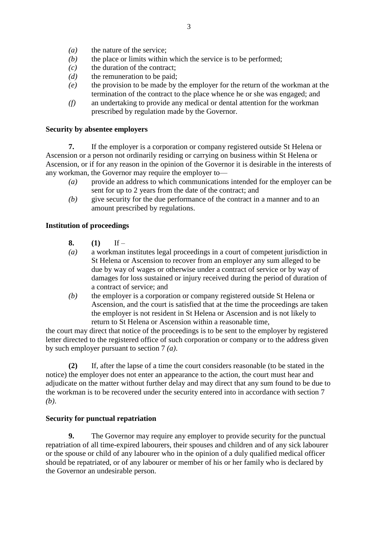- *(a)* the nature of the service;
- *(b)* the place or limits within which the service is to be performed;
- *(c)* the duration of the contract;
- *(d)* the remuneration to be paid;
- *(e)* the provision to be made by the employer for the return of the workman at the termination of the contract to the place whence he or she was engaged; and
- *(f)* an undertaking to provide any medical or dental attention for the workman prescribed by regulation made by the Governor.

### **Security by absentee employers**

**7.** If the employer is a corporation or company registered outside St Helena or Ascension or a person not ordinarily residing or carrying on business within St Helena or Ascension, or if for any reason in the opinion of the Governor it is desirable in the interests of any workman, the Governor may require the employer to—

- *(a)* provide an address to which communications intended for the employer can be sent for up to 2 years from the date of the contract; and
- *(b)* give security for the due performance of the contract in a manner and to an amount prescribed by regulations.

### **Institution of proceedings**

- **8. (1)** If –
- *(a)* a workman institutes legal proceedings in a court of competent jurisdiction in St Helena or Ascension to recover from an employer any sum alleged to be due by way of wages or otherwise under a contract of service or by way of damages for loss sustained or injury received during the period of duration of a contract of service; and
- *(b)* the employer is a corporation or company registered outside St Helena or Ascension, and the court is satisfied that at the time the proceedings are taken the employer is not resident in St Helena or Ascension and is not likely to return to St Helena or Ascension within a reasonable time,

the court may direct that notice of the proceedings is to be sent to the employer by registered letter directed to the registered office of such corporation or company or to the address given by such employer pursuant to section 7 *(a)*.

**(2)** If, after the lapse of a time the court considers reasonable (to be stated in the notice) the employer does not enter an appearance to the action, the court must hear and adjudicate on the matter without further delay and may direct that any sum found to be due to the workman is to be recovered under the security entered into in accordance with section 7 *(b)*.

### **Security for punctual repatriation**

**9.** The Governor may require any employer to provide security for the punctual repatriation of all time-expired labourers, their spouses and children and of any sick labourer or the spouse or child of any labourer who in the opinion of a duly qualified medical officer should be repatriated, or of any labourer or member of his or her family who is declared by the Governor an undesirable person.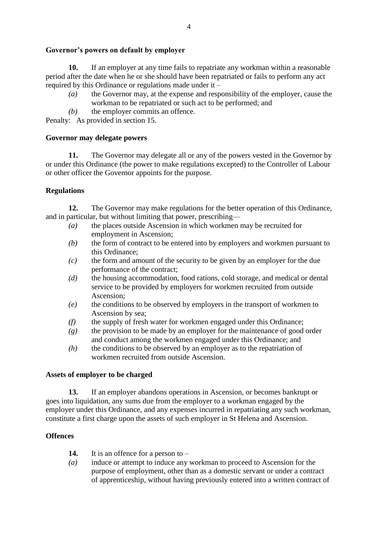## **Governor's powers on default by employer**

**10.** If an employer at any time fails to repatriate any workman within a reasonable period after the date when he or she should have been repatriated or fails to perform any act required by this Ordinance or regulations made under it –

- *(a)* the Governor may, at the expense and responsibility of the employer, cause the workman to be repatriated or such act to be performed; and
- *(b)* the employer commits an offence.

Penalty: As provided in section 15.

## **Governor may delegate powers**

**11.** The Governor may delegate all or any of the powers vested in the Governor by or under this Ordinance (the power to make regulations excepted) to the Controller of Labour or other officer the Governor appoints for the purpose.

# **Regulations**

**12.** The Governor may make regulations for the better operation of this Ordinance, and in particular, but without limiting that power, prescribing—

- *(a)* the places outside Ascension in which workmen may be recruited for employment in Ascension;
- *(b)* the form of contract to be entered into by employers and workmen pursuant to this Ordinance;
- *(c)* the form and amount of the security to be given by an employer for the due performance of the contract;
- *(d)* the housing accommodation, food rations, cold storage, and medical or dental service to be provided by employers for workmen recruited from outside Ascension;
- *(e)* the conditions to be observed by employers in the transport of workmen to Ascension by sea;
- *(f)* the supply of fresh water for workmen engaged under this Ordinance;
- *(g)* the provision to be made by an employer for the maintenance of good order and conduct among the workmen engaged under this Ordinance; and
- *(h)* the conditions to be observed by an employer as to the repatriation of workmen recruited from outside Ascension.

## **Assets of employer to be charged**

**13.** If an employer abandons operations in Ascension, or becomes bankrupt or goes into liquidation, any sums due from the employer to a workman engaged by the employer under this Ordinance, and any expenses incurred in repatriating any such workman, constitute a first charge upon the assets of such employer in St Helena and Ascension.

# **Offences**

- **14.** It is an offence for a person to –
- *(a)* induce or attempt to induce any workman to proceed to Ascension for the purpose of employment, other than as a domestic servant or under a contract of apprenticeship, without having previously entered into a written contract of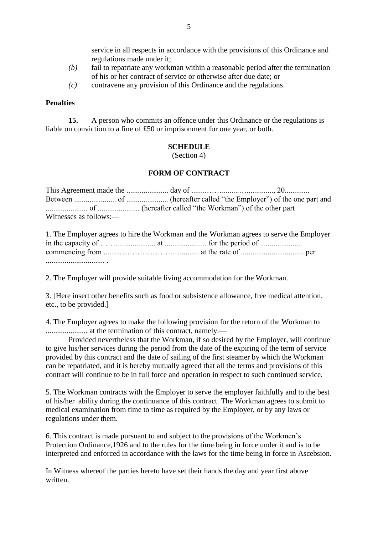service in all respects in accordance with the provisions of this Ordinance and regulations made under it;

- *(b)* fail to repatriate any workman within a reasonable period after the termination of his or her contract of service or otherwise after due date; or
- *(c)* contravene any provision of this Ordinance and the regulations.

#### **Penalties**

**15.** A person who commits an offence under this Ordinance or the regulations is liable on conviction to a fine of £50 or imprisonment for one year, or both.

### **SCHEDULE**

(Section 4)

### **FORM OF CONTRACT**

This Agreement made the ...................... day of ........…….........….............., 20............. Between ...................... of ...................... (hereafter called "the Employer") of the one part and ...................... of ...................... (hereafter called "the Workman") of the other part Witnesses as follows:—

| 1. The Employer agrees to hire the Workman and the Workman agrees to serve the Employer |  |  |
|-----------------------------------------------------------------------------------------|--|--|
|                                                                                         |  |  |
|                                                                                         |  |  |
|                                                                                         |  |  |

2. The Employer will provide suitable living accommodation for the Workman.

3. [Here insert other benefits such as food or subsistence allowance, free medical attention, etc., to be provided.]

4. The Employer agrees to make the following provision for the return of the Workman to ...................... at the termination of this contract, namely:—

Provided nevertheless that the Workman, if so desired by the Employer, will continue to give his/her services during the period from the date of the expiring of the term of service provided by this contract and the date of sailing of the first steamer by which the Workman can be repatriated, and it is hereby mutually agreed that all the terms and provisions of this contract will continue to be in full force and operation in respect to such continued service.

5. The Workman contracts with the Employer to serve the employer faithfully and to the best of his/her ability during the continuance of this contract. The Workman agrees to submit to medical examination from time to time as required by the Employer, or by any laws or regulations under them.

6. This contract is made pursuant to and subject to the provisions of the Workmen's Protection Ordinance,1926 and to the rules for the time being in force under it and is to be interpreted and enforced in accordance with the laws for the time being in force in Ascebsion.

In Witness whereof the parties hereto have set their hands the day and year first above written.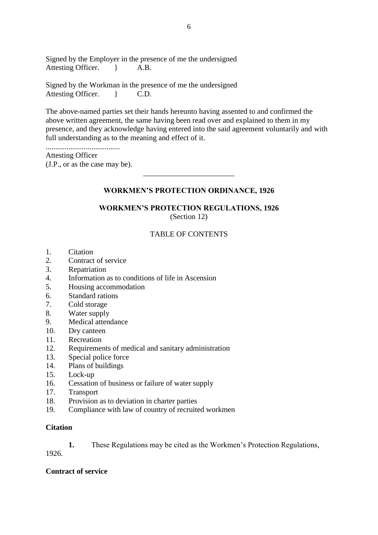Signed by the Employer in the presence of me the undersigned Attesting Officer.  $\uparrow$  A.B.

Signed by the Workman in the presence of me the undersigned Attesting Officer.  $\qquad$  C.D.

The above-named parties set their hands hereunto having assented to and confirmed the above written agreement, the same having been read over and explained to them in my presence, and they acknowledge having entered into the said agreement voluntarily and with full understanding as to the meaning and effect of it.

.......................................

Attesting Officer (J.P., or as the case may be).

## **WORKMEN'S PROTECTION ORDINANCE, 1926**

\_\_\_\_\_\_\_\_\_\_\_\_\_\_\_\_\_\_\_\_\_\_\_\_

# **WORKMEN'S PROTECTION REGULATIONS, 1926**

(Section 12)

### TABLE OF CONTENTS

- 1. Citation
- 2. Contract of service
- 3. Repatriation
- 4. Information as to conditions of life in Ascension
- 5. Housing accommodation
- 6. Standard rations
- 7. Cold storage
- 8. Water supply
- 9. Medical attendance
- 10. Dry canteen
- 11. Recreation
- 12. Requirements of medical and sanitary administration
- 13. Special police force
- 14. Plans of buildings
- 15. Lock-up
- 16. Cessation of business or failure of water supply
- 17. Transport
- 18. Provision as to deviation in charter parties
- 19. Compliance with law of country of recruited workmen

### **Citation**

**1.** These Regulations may be cited as the Workmen's Protection Regulations,

1926.

### **Contract of service**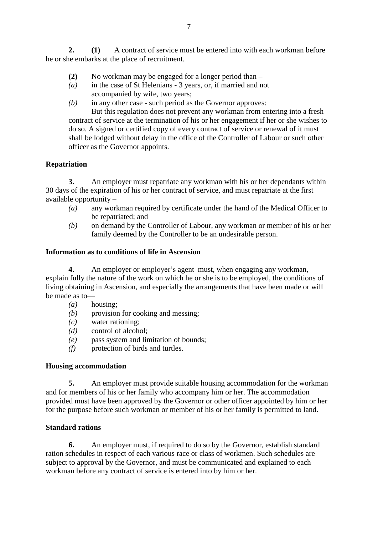**2. (1)** A contract of service must be entered into with each workman before he or she embarks at the place of recruitment.

- **(2)** No workman may be engaged for a longer period than –
- *(a)* in the case of St Helenians 3 years, or, if married and not accompanied by wife, two years;
- *(b)* in any other case such period as the Governor approves:

But this regulation does not prevent any workman from entering into a fresh contract of service at the termination of his or her engagement if her or she wishes to do so. A signed or certified copy of every contract of service or renewal of it must shall be lodged without delay in the office of the Controller of Labour or such other officer as the Governor appoints.

# **Repatriation**

**3.** An employer must repatriate any workman with his or her dependants within 30 days of the expiration of his or her contract of service, and must repatriate at the first available opportunity –

- *(a)* any workman required by certificate under the hand of the Medical Officer to be repatriated; and
- *(b)* on demand by the Controller of Labour, any workman or member of his or her family deemed by the Controller to be an undesirable person.

## **Information as to conditions of life in Ascension**

**4.** An employer or employer's agent must, when engaging any workman, explain fully the nature of the work on which he or she is to be employed, the conditions of living obtaining in Ascension, and especially the arrangements that have been made or will be made as to—

- *(a)* housing;
- *(b)* provision for cooking and messing;
- *(c)* water rationing;
- *(d)* control of alcohol;
- *(e)* pass system and limitation of bounds;
- *(f)* protection of birds and turtles.

## **Housing accommodation**

**5.** An employer must provide suitable housing accommodation for the workman and for members of his or her family who accompany him or her. The accommodation provided must have been approved by the Governor or other officer appointed by him or her for the purpose before such workman or member of his or her family is permitted to land.

## **Standard rations**

**6.** An employer must, if required to do so by the Governor, establish standard ration schedules in respect of each various race or class of workmen. Such schedules are subject to approval by the Governor, and must be communicated and explained to each workman before any contract of service is entered into by him or her.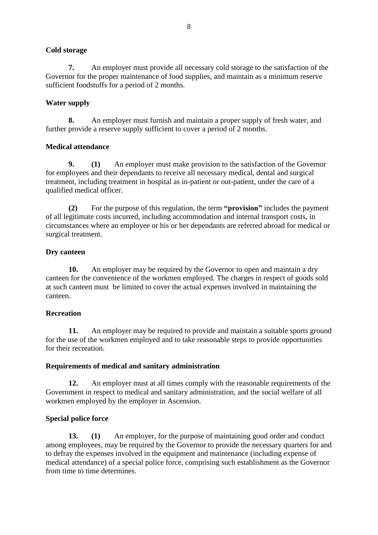## **Cold storage**

**7.** An employer must provide all necessary cold storage to the satisfaction of the Governor for the proper maintenance of food supplies, and maintain as a minimum reserve sufficient foodstuffs for a period of 2 months.

## **Water supply**

**8.** An employer must furnish and maintain a proper supply of fresh water, and further provide a reserve supply sufficient to cover a period of 2 months.

## **Medical attendance**

**9. (1)** An employer must make provision to the satisfaction of the Governor for employees and their dependants to receive all necessary medical, dental and surgical treatment, including treatment in hospital as in-patient or out-patient, under the care of a qualified medical officer.

**(2)** For the purpose of this regulation, the term **"provision"** includes the payment of all legitimate costs incurred, including accommodation and internal transport costs, in circumstances where an employee or his or her dependants are referred abroad for medical or surgical treatment.

## **Dry canteen**

**10.** An employer may be required by the Governor to open and maintain a dry canteen for the convenience of the workmen employed. The charges in respect of goods sold at such canteen must be limited to cover the actual expenses involved in maintaining the canteen.

### **Recreation**

**11.** An employer may be required to provide and maintain a suitable sports ground for the use of the workmen employed and to take reasonable steps to provide opportunities for their recreation.

## **Requirements of medical and sanitary administration**

**12.** An employer must at all times comply with the reasonable requirements of the Government in respect to medical and sanitary administration, and the social welfare of all workmen employed by the employer in Ascension.

## **Special police force**

**13. (1)** An employer, for the purpose of maintaining good order and conduct among employees, may be required by the Governor to provide the necessary quarters for and to defray the expenses involved in the equipment and maintenance (including expense of medical attendance) of a special police force, comprising such establishment as the Governor from time to time determines.